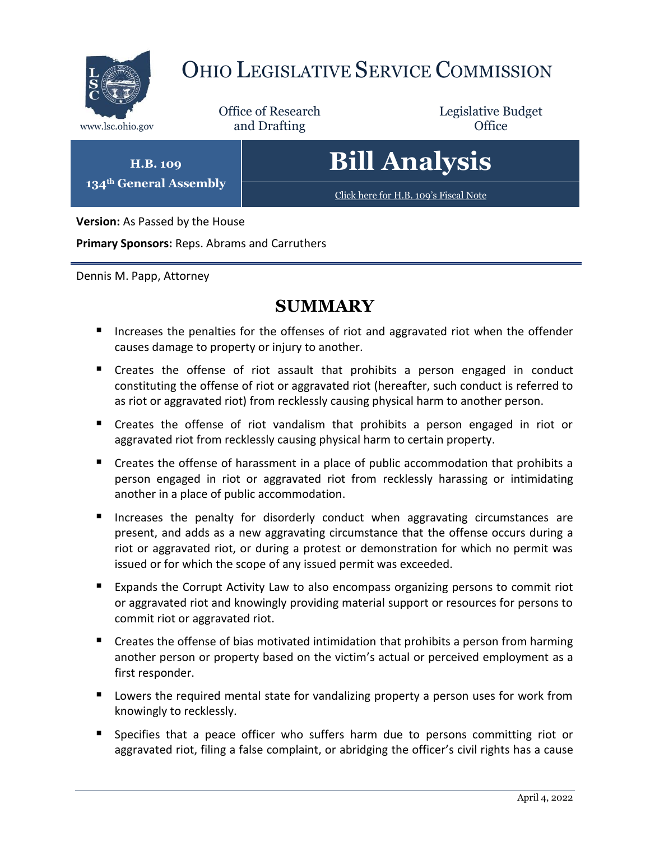

**Version:** As Passed by the House

**Primary Sponsors:** Reps. Abrams and Carruthers

Dennis M. Papp, Attorney

# **SUMMARY**

- Increases the penalties for the offenses of riot and aggravated riot when the offender causes damage to property or injury to another.
- Creates the offense of riot assault that prohibits a person engaged in conduct constituting the offense of riot or aggravated riot (hereafter, such conduct is referred to as riot or aggravated riot) from recklessly causing physical harm to another person.
- Creates the offense of riot vandalism that prohibits a person engaged in riot or aggravated riot from recklessly causing physical harm to certain property.
- Creates the offense of harassment in a place of public accommodation that prohibits a person engaged in riot or aggravated riot from recklessly harassing or intimidating another in a place of public accommodation.
- Increases the penalty for disorderly conduct when aggravating circumstances are present, and adds as a new aggravating circumstance that the offense occurs during a riot or aggravated riot, or during a protest or demonstration for which no permit was issued or for which the scope of any issued permit was exceeded.
- Expands the Corrupt Activity Law to also encompass organizing persons to commit riot or aggravated riot and knowingly providing material support or resources for persons to commit riot or aggravated riot.
- Creates the offense of bias motivated intimidation that prohibits a person from harming another person or property based on the victim's actual or perceived employment as a first responder.
- **Lowers the required mental state for vandalizing property a person uses for work from** knowingly to recklessly.
- **Specifies that a peace officer who suffers harm due to persons committing riot or** aggravated riot, filing a false complaint, or abridging the officer's civil rights has a cause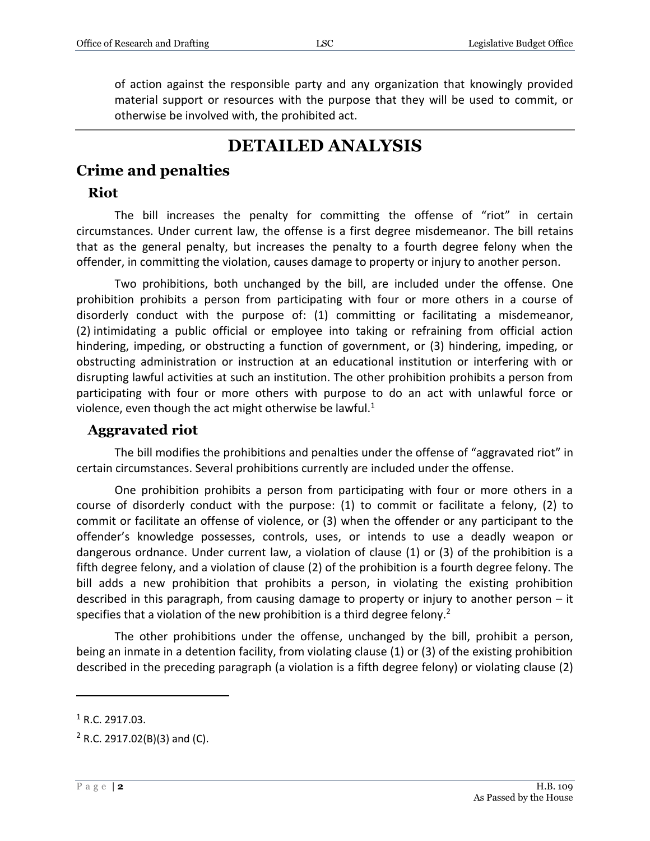of action against the responsible party and any organization that knowingly provided material support or resources with the purpose that they will be used to commit, or otherwise be involved with, the prohibited act.

# **DETAILED ANALYSIS**

## **Crime and penalties**

#### **Riot**

The bill increases the penalty for committing the offense of "riot" in certain circumstances. Under current law, the offense is a first degree misdemeanor. The bill retains that as the general penalty, but increases the penalty to a fourth degree felony when the offender, in committing the violation, causes damage to property or injury to another person.

Two prohibitions, both unchanged by the bill, are included under the offense. One prohibition prohibits a person from participating with four or more others in a course of disorderly conduct with the purpose of: (1) committing or facilitating a misdemeanor, (2) intimidating a public official or employee into taking or refraining from official action hindering, impeding, or obstructing a function of government, or (3) hindering, impeding, or obstructing administration or instruction at an educational institution or interfering with or disrupting lawful activities at such an institution. The other prohibition prohibits a person from participating with four or more others with purpose to do an act with unlawful force or violence, even though the act might otherwise be lawful. $1$ 

#### **Aggravated riot**

The bill modifies the prohibitions and penalties under the offense of "aggravated riot" in certain circumstances. Several prohibitions currently are included under the offense.

One prohibition prohibits a person from participating with four or more others in a course of disorderly conduct with the purpose: (1) to commit or facilitate a felony, (2) to commit or facilitate an offense of violence, or (3) when the offender or any participant to the offender's knowledge possesses, controls, uses, or intends to use a deadly weapon or dangerous ordnance. Under current law, a violation of clause (1) or (3) of the prohibition is a fifth degree felony, and a violation of clause (2) of the prohibition is a fourth degree felony. The bill adds a new prohibition that prohibits a person, in violating the existing prohibition described in this paragraph, from causing damage to property or injury to another person – it specifies that a violation of the new prohibition is a third degree felony.<sup>2</sup>

The other prohibitions under the offense, unchanged by the bill, prohibit a person, being an inmate in a detention facility, from violating clause (1) or (3) of the existing prohibition described in the preceding paragraph (a violation is a fifth degree felony) or violating clause (2)

 $1$  R.C. 2917.03.

 $2$  R.C. 2917.02(B)(3) and (C).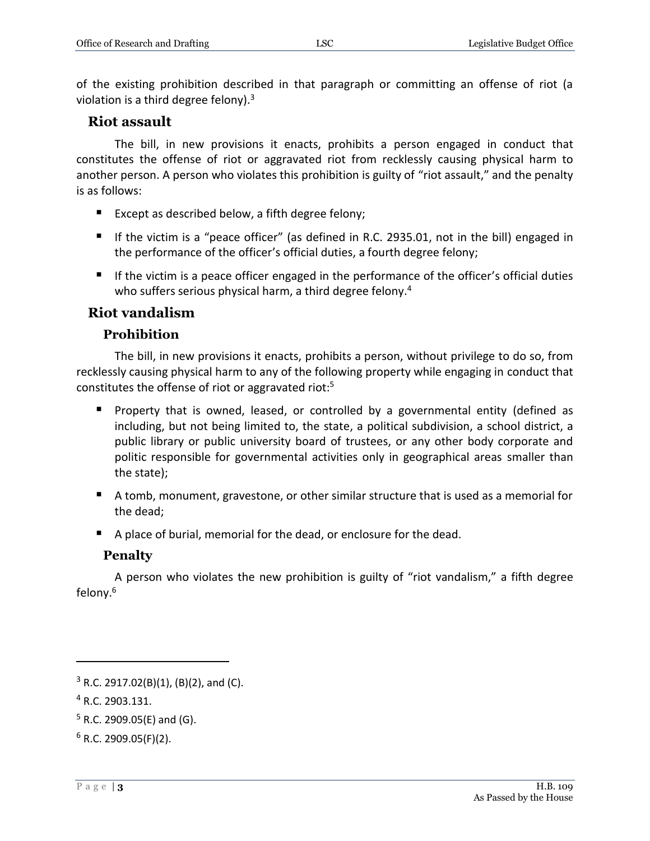of the existing prohibition described in that paragraph or committing an offense of riot (a violation is a third degree felony).<sup>3</sup>

#### **Riot assault**

The bill, in new provisions it enacts, prohibits a person engaged in conduct that constitutes the offense of riot or aggravated riot from recklessly causing physical harm to another person. A person who violates this prohibition is guilty of "riot assault," and the penalty is as follows:

- Except as described below, a fifth degree felony;
- If the victim is a "peace officer" (as defined in R.C. 2935.01, not in the bill) engaged in the performance of the officer's official duties, a fourth degree felony;
- If the victim is a peace officer engaged in the performance of the officer's official duties who suffers serious physical harm, a third degree felony.<sup>4</sup>

#### **Riot vandalism**

#### **Prohibition**

The bill, in new provisions it enacts, prohibits a person, without privilege to do so, from recklessly causing physical harm to any of the following property while engaging in conduct that constitutes the offense of riot or aggravated riot:<sup>5</sup>

- **Property that is owned, leased, or controlled by a governmental entity (defined as** including, but not being limited to, the state, a political subdivision, a school district, a public library or public university board of trustees, or any other body corporate and politic responsible for governmental activities only in geographical areas smaller than the state);
- A tomb, monument, gravestone, or other similar structure that is used as a memorial for the dead;
- A place of burial, memorial for the dead, or enclosure for the dead.

#### **Penalty**

A person who violates the new prohibition is guilty of "riot vandalism," a fifth degree felony.<sup>6</sup>

 $3$  R.C. 2917.02(B)(1), (B)(2), and (C).

<sup>4</sup> R.C. 2903.131.

 $5$  R.C. 2909.05(E) and (G).

 $6$  R.C. 2909.05(F)(2).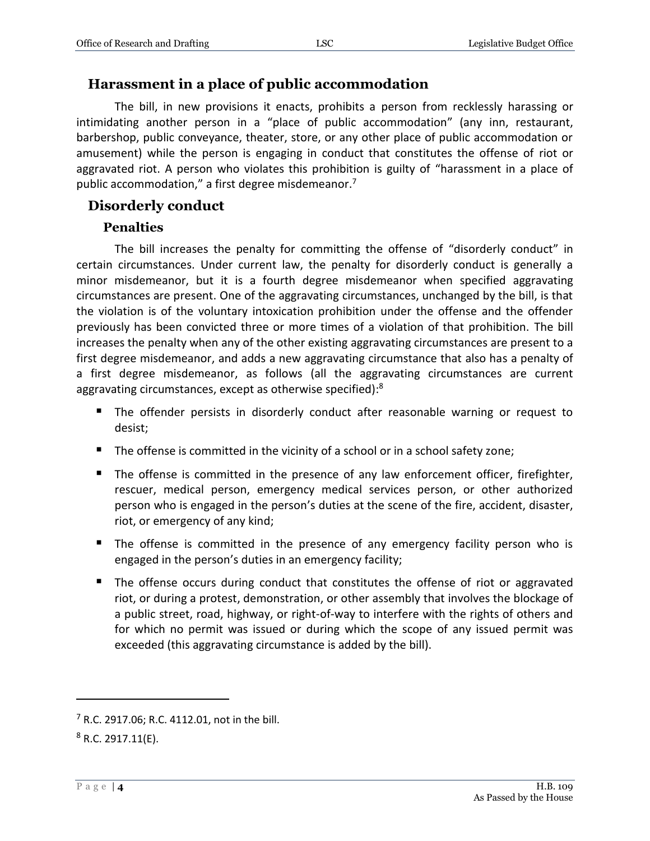#### **Harassment in a place of public accommodation**

The bill, in new provisions it enacts, prohibits a person from recklessly harassing or intimidating another person in a "place of public accommodation" (any inn, restaurant, barbershop, public conveyance, theater, store, or any other place of public accommodation or amusement) while the person is engaging in conduct that constitutes the offense of riot or aggravated riot. A person who violates this prohibition is guilty of "harassment in a place of public accommodation," a first degree misdemeanor.<sup>7</sup>

#### **Disorderly conduct**

#### **Penalties**

The bill increases the penalty for committing the offense of "disorderly conduct" in certain circumstances. Under current law, the penalty for disorderly conduct is generally a minor misdemeanor, but it is a fourth degree misdemeanor when specified aggravating circumstances are present. One of the aggravating circumstances, unchanged by the bill, is that the violation is of the voluntary intoxication prohibition under the offense and the offender previously has been convicted three or more times of a violation of that prohibition. The bill increases the penalty when any of the other existing aggravating circumstances are present to a first degree misdemeanor, and adds a new aggravating circumstance that also has a penalty of a first degree misdemeanor, as follows (all the aggravating circumstances are current aggravating circumstances, except as otherwise specified):<sup>8</sup>

- The offender persists in disorderly conduct after reasonable warning or request to desist;
- The offense is committed in the vicinity of a school or in a school safety zone;
- **The offense is committed in the presence of any law enforcement officer, firefighter,** rescuer, medical person, emergency medical services person, or other authorized person who is engaged in the person's duties at the scene of the fire, accident, disaster, riot, or emergency of any kind;
- The offense is committed in the presence of any emergency facility person who is engaged in the person's duties in an emergency facility;
- The offense occurs during conduct that constitutes the offense of riot or aggravated riot, or during a protest, demonstration, or other assembly that involves the blockage of a public street, road, highway, or right-of-way to interfere with the rights of others and for which no permit was issued or during which the scope of any issued permit was exceeded (this aggravating circumstance is added by the bill).

<sup>7</sup> R.C. 2917.06; R.C. 4112.01, not in the bill.

 $8$  R.C. 2917.11(E).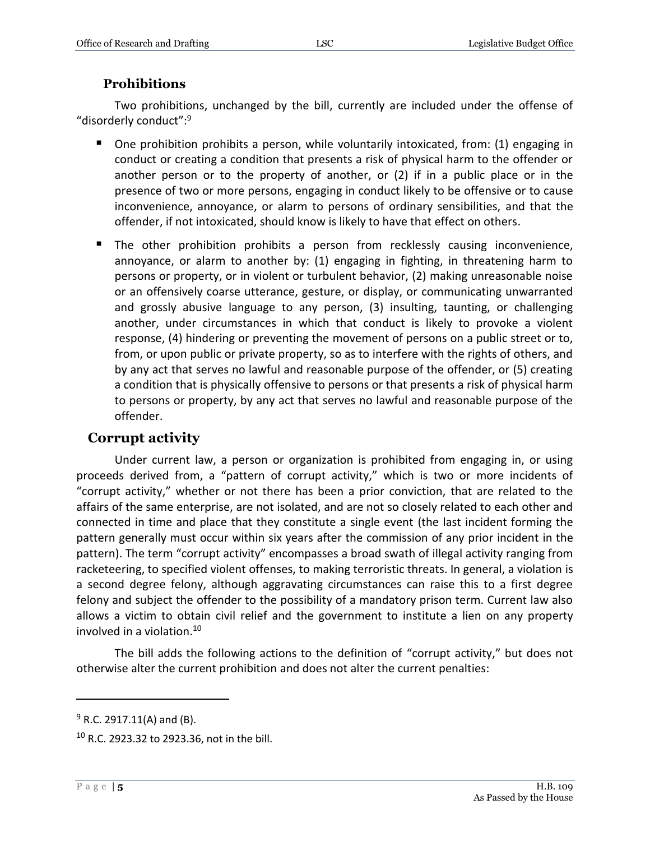#### **Prohibitions**

Two prohibitions, unchanged by the bill, currently are included under the offense of "disorderly conduct": 9

- One prohibition prohibits a person, while voluntarily intoxicated, from: (1) engaging in conduct or creating a condition that presents a risk of physical harm to the offender or another person or to the property of another, or (2) if in a public place or in the presence of two or more persons, engaging in conduct likely to be offensive or to cause inconvenience, annoyance, or alarm to persons of ordinary sensibilities, and that the offender, if not intoxicated, should know is likely to have that effect on others.
- The other prohibition prohibits a person from recklessly causing inconvenience, annoyance, or alarm to another by: (1) engaging in fighting, in threatening harm to persons or property, or in violent or turbulent behavior, (2) making unreasonable noise or an offensively coarse utterance, gesture, or display, or communicating unwarranted and grossly abusive language to any person, (3) insulting, taunting, or challenging another, under circumstances in which that conduct is likely to provoke a violent response, (4) hindering or preventing the movement of persons on a public street or to, from, or upon public or private property, so as to interfere with the rights of others, and by any act that serves no lawful and reasonable purpose of the offender, or (5) creating a condition that is physically offensive to persons or that presents a risk of physical harm to persons or property, by any act that serves no lawful and reasonable purpose of the offender.

### **Corrupt activity**

Under current law, a person or organization is prohibited from engaging in, or using proceeds derived from, a "pattern of corrupt activity," which is two or more incidents of "corrupt activity," whether or not there has been a prior conviction, that are related to the affairs of the same enterprise, are not isolated, and are not so closely related to each other and connected in time and place that they constitute a single event (the last incident forming the pattern generally must occur within six years after the commission of any prior incident in the pattern). The term "corrupt activity" encompasses a broad swath of illegal activity ranging from racketeering, to specified violent offenses, to making terroristic threats. In general, a violation is a second degree felony, although aggravating circumstances can raise this to a first degree felony and subject the offender to the possibility of a mandatory prison term. Current law also allows a victim to obtain civil relief and the government to institute a lien on any property involved in a violation.<sup>10</sup>

The bill adds the following actions to the definition of "corrupt activity," but does not otherwise alter the current prohibition and does not alter the current penalties:

 $9$  R.C. 2917.11(A) and (B).

<sup>10</sup> R.C. 2923.32 to 2923.36, not in the bill.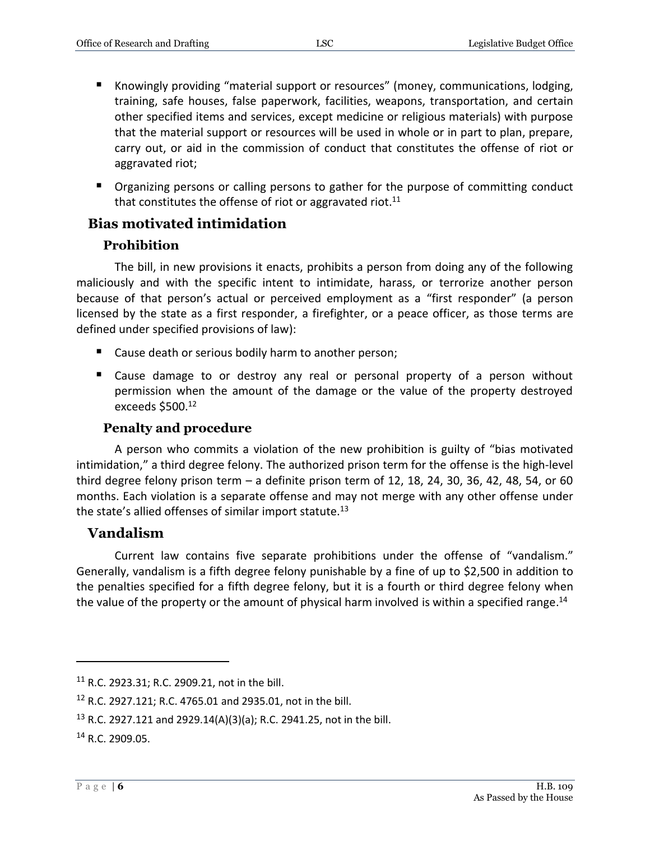- Knowingly providing "material support or resources" (money, communications, lodging, training, safe houses, false paperwork, facilities, weapons, transportation, and certain other specified items and services, except medicine or religious materials) with purpose that the material support or resources will be used in whole or in part to plan, prepare, carry out, or aid in the commission of conduct that constitutes the offense of riot or aggravated riot;
- **P** Organizing persons or calling persons to gather for the purpose of committing conduct that constitutes the offense of riot or aggravated riot.<sup>11</sup>

### **Bias motivated intimidation**

#### **Prohibition**

The bill, in new provisions it enacts, prohibits a person from doing any of the following maliciously and with the specific intent to intimidate, harass, or terrorize another person because of that person's actual or perceived employment as a "first responder" (a person licensed by the state as a first responder, a firefighter, or a peace officer, as those terms are defined under specified provisions of law):

- Cause death or serious bodily harm to another person;
- Cause damage to or destroy any real or personal property of a person without permission when the amount of the damage or the value of the property destroyed exceeds \$500.<sup>12</sup>

#### **Penalty and procedure**

A person who commits a violation of the new prohibition is guilty of "bias motivated intimidation," a third degree felony. The authorized prison term for the offense is the high-level third degree felony prison term  $-$  a definite prison term of 12, 18, 24, 30, 36, 42, 48, 54, or 60 months. Each violation is a separate offense and may not merge with any other offense under the state's allied offenses of similar import statute.<sup>13</sup>

#### **Vandalism**

Current law contains five separate prohibitions under the offense of "vandalism." Generally, vandalism is a fifth degree felony punishable by a fine of up to \$2,500 in addition to the penalties specified for a fifth degree felony, but it is a fourth or third degree felony when the value of the property or the amount of physical harm involved is within a specified range.<sup>14</sup>

<sup>11</sup> R.C. 2923.31; R.C. 2909.21, not in the bill.

<sup>12</sup> R.C. 2927.121; R.C. 4765.01 and 2935.01, not in the bill.

<sup>13</sup> R.C. 2927.121 and 2929.14(A)(3)(a); R.C. 2941.25, not in the bill.

<sup>14</sup> R.C. 2909.05.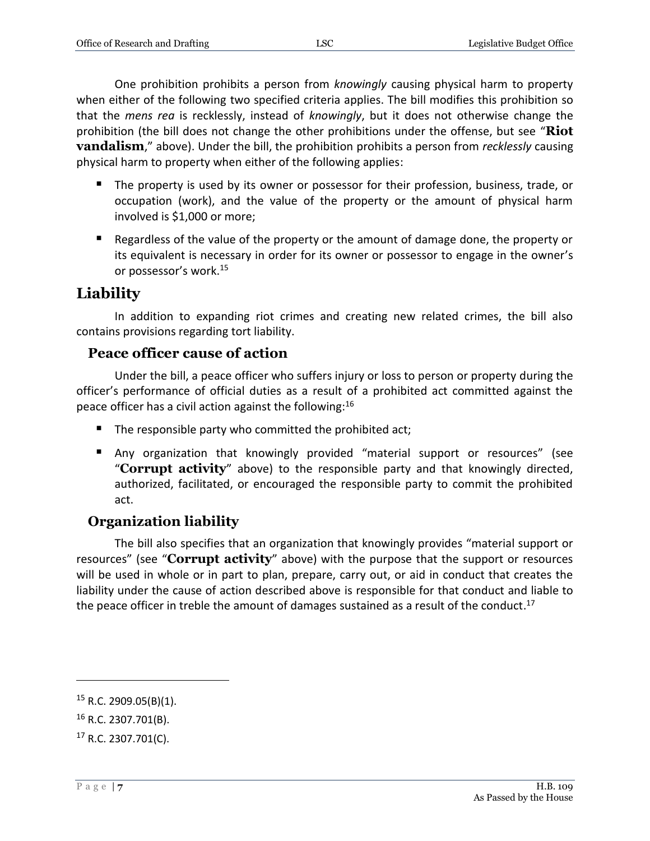One prohibition prohibits a person from *knowingly* causing physical harm to property when either of the following two specified criteria applies. The bill modifies this prohibition so that the *mens rea* is recklessly, instead of *knowingly*, but it does not otherwise change the prohibition (the bill does not change the other prohibitions under the offense, but see "**Riot vandalism**," above). Under the bill, the prohibition prohibits a person from *recklessly* causing physical harm to property when either of the following applies:

- The property is used by its owner or possessor for their profession, business, trade, or occupation (work), and the value of the property or the amount of physical harm involved is \$1,000 or more;
- Regardless of the value of the property or the amount of damage done, the property or its equivalent is necessary in order for its owner or possessor to engage in the owner's or possessor's work.<sup>15</sup>

# **Liability**

In addition to expanding riot crimes and creating new related crimes, the bill also contains provisions regarding tort liability.

### **Peace officer cause of action**

Under the bill, a peace officer who suffers injury or loss to person or property during the officer's performance of official duties as a result of a prohibited act committed against the peace officer has a civil action against the following:<sup>16</sup>

- The responsible party who committed the prohibited act;
- Any organization that knowingly provided "material support or resources" (see "**Corrupt activity**" above) to the responsible party and that knowingly directed, authorized, facilitated, or encouraged the responsible party to commit the prohibited act.

# **Organization liability**

The bill also specifies that an organization that knowingly provides "material support or resources" (see "**Corrupt activity**" above) with the purpose that the support or resources will be used in whole or in part to plan, prepare, carry out, or aid in conduct that creates the liability under the cause of action described above is responsible for that conduct and liable to the peace officer in treble the amount of damages sustained as a result of the conduct.<sup>17</sup>

 $15$  R.C. 2909.05(B)(1).

<sup>16</sup> R.C. 2307.701(B).

<sup>17</sup> R.C. 2307.701(C).